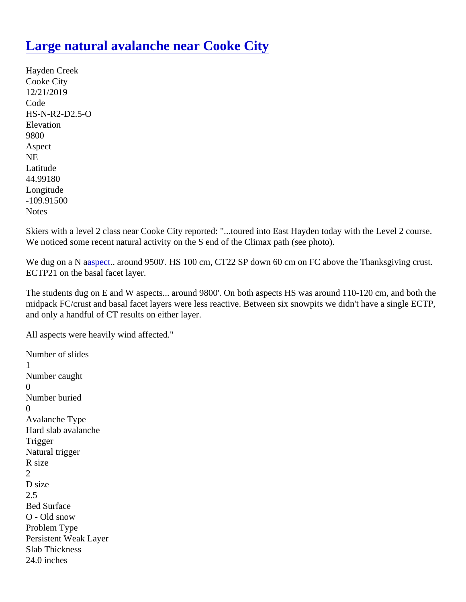## [Large natural avalanche near Cooke City](https://www.mtavalanche.com/node/21323)

Hayden Creek Cooke City 12/21/2019 Code HS-N-R2-D2.5-O **Elevation** 9800 Aspect NE Latitude 44.99180 Longitude -109.91500 **Notes** 

Skiers with a level 2 class near Cooke City reported: "...toured into East Hayden today with the Level 2 course We noticed some recent natural activity on the S end of the Climax path (see photo).

We dug on a Naspect around 9500'[.](https://www.mtavalanche.com/taxonomy/term/258) HS 100 cm, CT22 SP down 60 cm on FC above the Thanksgiving crust. ECTP21 on the basal facet layer.

The students dug on E and W aspects... around 9800'. On both aspects HS was around 110-120 cm, and both midpack FC/crust and basal facet layers were less reactive. Between six snowpits we didn't have a single EC and only a handful of CT results on either layer.

All aspects were heavily wind affected."

Number of slides 1 Number caught  $\Omega$ Number buried  $\Omega$ Avalanche Type Hard slab avalanche **Trigger** Natural trigger R size 2 D size 2.5 Bed Surface O - Old snow Problem Type Persistent Weak Layer Slab Thickness 24.0 inches